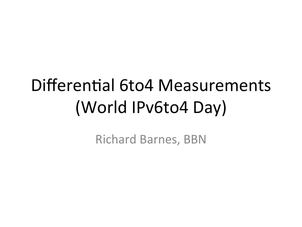## Differential 6to4 Measurements (World IPv6to4 Day)

**Richard Barnes, BBN**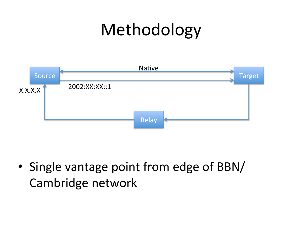## Methodology



• Single vantage point from edge of BBN/ Cambridge network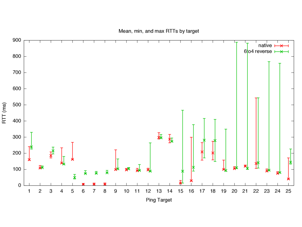

#### Mean, min, and max RTTs by target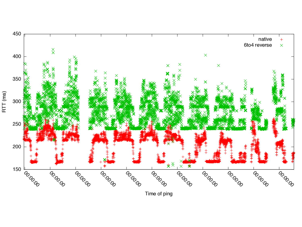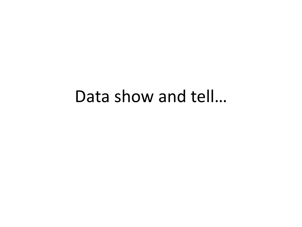### Data show and tell...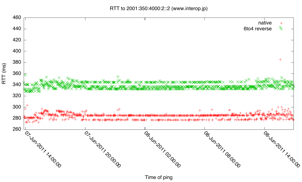RTT to 2001:350:4000:2::2 (www.interop.jp)



Time of ping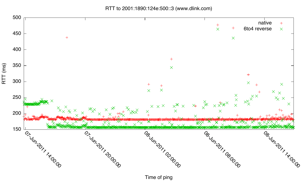RTT to 2001:1890:124e:500::3 (www.dlink.com)



Time of ping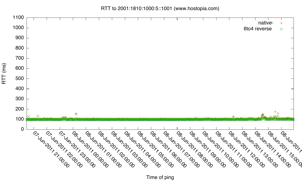

RTT (ms)

RTT to 2001:1810:1000:5::1001 (www.hostopia.com)

Time of ping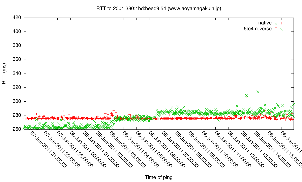

Time of ping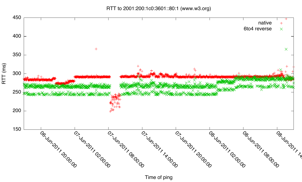RTT to 2001:200:1c0:3601::80:1 (www.w3.org)



Time of ping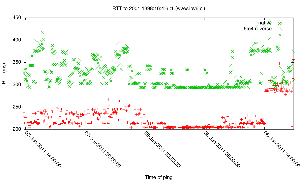RTT to 2001:1398:16:4:6::1 (www.ipv6.cl)



Time of ping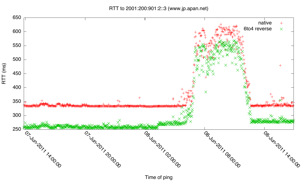RTT to 2001:200:901:2::3 (www.jp.apan.net)



Time of ping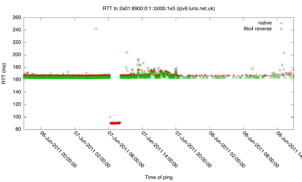RTT to 2a01:8900:0:1::b00b:1e5 (ipv6.luns.net.uk)



Time of ping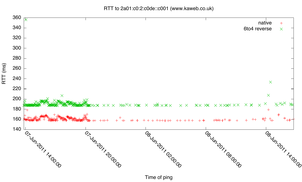RTT to 2a01:c0:2:c0de::c001 (www.kaweb.co.uk)



Time of ping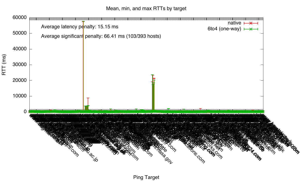Mean, min, and max RTTs by target



Ping Target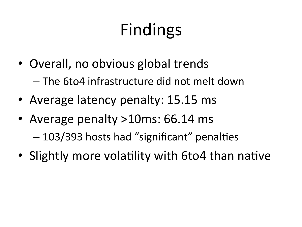# Findings

- Overall, no obvious global trends - The 6to4 infrastructure did not melt down
- Average latency penalty: 15.15 ms
- Average penalty >10ms: 66.14 ms - 103/393 hosts had "significant" penalties
- Slightly more volatility with 6to4 than native